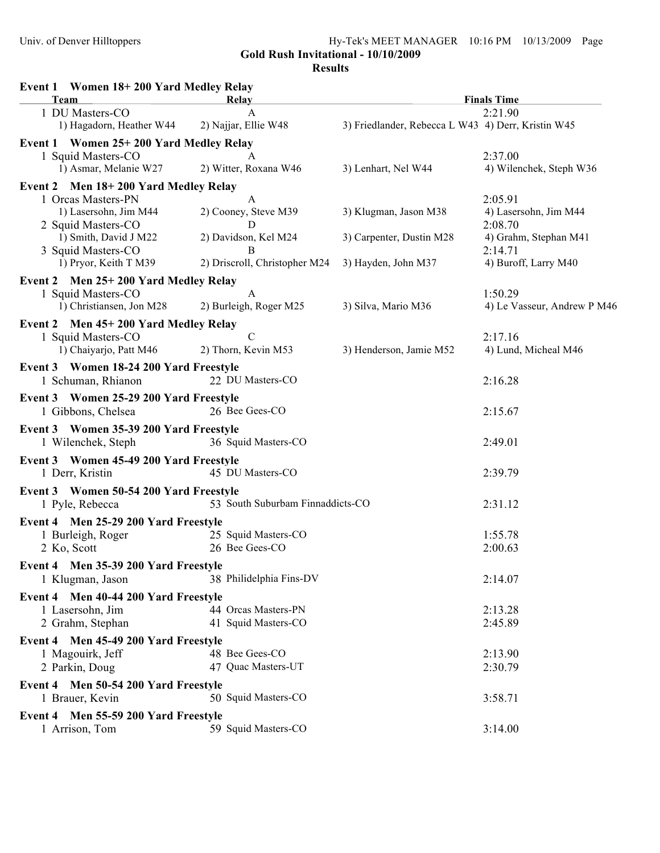Gold Rush Invitational - 10/10/2009

**Results**

| Event 1 Women 18+200 Yard Medley Relay<br>Team             | Relay                            |                                                    | <b>Finals Time</b>                     |
|------------------------------------------------------------|----------------------------------|----------------------------------------------------|----------------------------------------|
| 1 DU Masters-CO                                            | $\mathbf{A}$                     |                                                    | 2:21.90                                |
| 1) Hagadorn, Heather W44                                   | 2) Najjar, Ellie W48             | 3) Friedlander, Rebecca L W43 4) Derr, Kristin W45 |                                        |
| Event 1 Women 25+200 Yard Medley Relay                     |                                  |                                                    |                                        |
| 1 Squid Masters-CO                                         | A                                |                                                    | 2:37.00                                |
| 1) Asmar, Melanie W27                                      | 2) Witter, Roxana W46            | 3) Lenhart, Nel W44                                | 4) Wilenchek, Steph W36                |
| Event 2 Men 18+200 Yard Medley Relay                       |                                  |                                                    |                                        |
| 1 Orcas Masters-PN                                         | A                                |                                                    | 2:05.91                                |
| 1) Lasersohn, Jim M44                                      | 2) Cooney, Steve M39             | 3) Klugman, Jason M38                              | 4) Lasersohn, Jim M44                  |
| 2 Squid Masters-CO                                         | D                                |                                                    | 2:08.70                                |
| 1) Smith, David J M22                                      | 2) Davidson, Kel M24<br>B        | 3) Carpenter, Dustin M28                           | 4) Grahm, Stephan M41<br>2:14.71       |
| 3 Squid Masters-CO<br>1) Pryor, Keith T M39                | 2) Driscroll, Christopher M24    | 3) Hayden, John M37                                | 4) Buroff, Larry M40                   |
|                                                            |                                  |                                                    |                                        |
| Event 2 Men 25+200 Yard Medley Relay                       | $\mathbf{A}$                     |                                                    |                                        |
| 1 Squid Masters-CO<br>1) Christiansen, Jon M28             | 2) Burleigh, Roger M25           | 3) Silva, Mario M36                                | 1:50.29<br>4) Le Vasseur, Andrew P M46 |
|                                                            |                                  |                                                    |                                        |
| Event 2 Men 45+200 Yard Medley Relay<br>1 Squid Masters-CO | $\mathcal{C}$                    |                                                    | 2:17.16                                |
| 1) Chaiyarjo, Patt M46                                     | 2) Thorn, Kevin M53              | 3) Henderson, Jamie M52                            | 4) Lund, Micheal M46                   |
|                                                            |                                  |                                                    |                                        |
| Event 3 Women 18-24 200 Yard Freestyle                     | 22 DU Masters-CO                 |                                                    |                                        |
| 1 Schuman, Rhianon                                         |                                  |                                                    | 2:16.28                                |
| Event 3 Women 25-29 200 Yard Freestyle                     |                                  |                                                    |                                        |
| 1 Gibbons, Chelsea                                         | 26 Bee Gees-CO                   |                                                    | 2:15.67                                |
| Event 3 Women 35-39 200 Yard Freestyle                     |                                  |                                                    |                                        |
| 1 Wilenchek, Steph                                         | 36 Squid Masters-CO              |                                                    | 2:49.01                                |
| Event 3 Women 45-49 200 Yard Freestyle                     |                                  |                                                    |                                        |
| 1 Derr, Kristin                                            | 45 DU Masters-CO                 |                                                    | 2:39.79                                |
| Event 3 Women 50-54 200 Yard Freestyle                     |                                  |                                                    |                                        |
| 1 Pyle, Rebecca                                            | 53 South Suburbam Finnaddicts-CO |                                                    | 2:31.12                                |
| Event 4 Men 25-29 200 Yard Freestyle                       |                                  |                                                    |                                        |
| 1 Burleigh, Roger                                          | 25 Squid Masters-CO              |                                                    | 1:55.78                                |
| 2 Ko, Scott                                                | 26 Bee Gees-CO                   |                                                    | 2:00.63                                |
| Event 4 Men 35-39 200 Yard Freestyle                       |                                  |                                                    |                                        |
| 1 Klugman, Jason                                           | 38 Philidelphia Fins-DV          |                                                    | 2:14.07                                |
| Event 4 Men 40-44 200 Yard Freestyle                       |                                  |                                                    |                                        |
| 1 Lasersohn, Jim                                           | 44 Orcas Masters-PN              |                                                    | 2:13.28                                |
| 2 Grahm, Stephan                                           | 41 Squid Masters-CO              |                                                    | 2:45.89                                |
| Event 4 Men 45-49 200 Yard Freestyle                       |                                  |                                                    |                                        |
| 1 Magouirk, Jeff                                           | 48 Bee Gees-CO                   |                                                    | 2:13.90                                |
| 2 Parkin, Doug                                             | 47 Quac Masters-UT               |                                                    | 2:30.79                                |
|                                                            |                                  |                                                    |                                        |
| Event 4 Men 50-54 200 Yard Freestyle<br>1 Brauer, Kevin    | 50 Squid Masters-CO              |                                                    | 3:58.71                                |
|                                                            |                                  |                                                    |                                        |
| Event 4 Men 55-59 200 Yard Freestyle                       |                                  |                                                    |                                        |
| 1 Arrison, Tom                                             | 59 Squid Masters-CO              |                                                    | 3:14.00                                |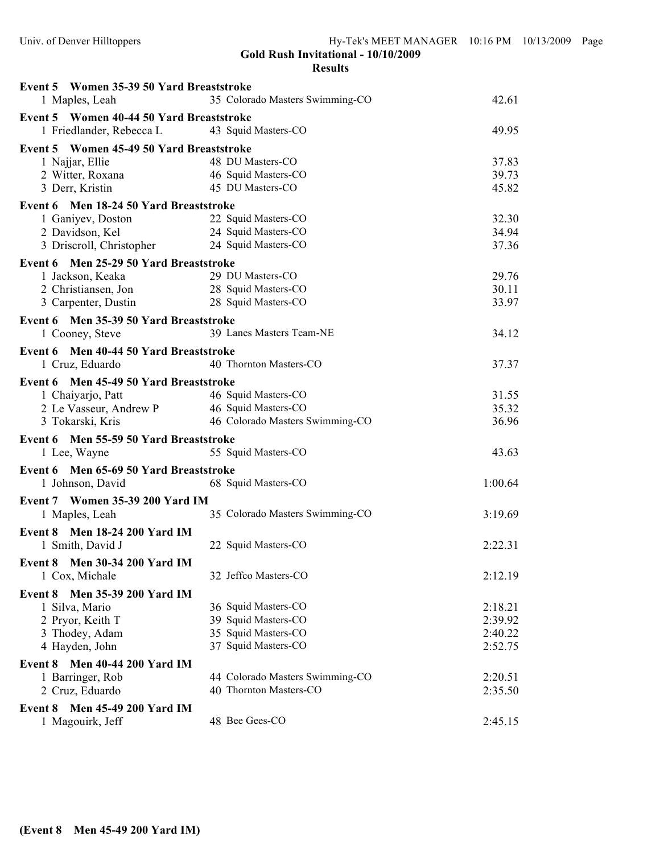| Event 5 Women 35-39 50 Yard Breaststroke                       |                                 |                |
|----------------------------------------------------------------|---------------------------------|----------------|
| 1 Maples, Leah                                                 | 35 Colorado Masters Swimming-CO | 42.61          |
| Event 5 Women 40-44 50 Yard Breaststroke                       |                                 |                |
| 1 Friedlander, Rebecca L 43 Squid Masters-CO                   |                                 | 49.95          |
| Event 5 Women 45-49 50 Yard Breaststroke                       |                                 |                |
| 1 Najjar, Ellie                                                | 48 DU Masters-CO                | 37.83          |
| 2 Witter, Roxana                                               | 46 Squid Masters-CO             | 39.73          |
| 3 Derr, Kristin                                                | 45 DU Masters-CO                | 45.82          |
| Event 6 Men 18-24 50 Yard Breaststroke                         |                                 |                |
| 1 Ganiyev, Doston                                              | 22 Squid Masters-CO             | 32.30          |
| 2 Davidson, Kel                                                | 24 Squid Masters-CO             | 34.94          |
| 3 Driscroll, Christopher 24 Squid Masters-CO                   |                                 | 37.36          |
| Event 6 Men 25-29 50 Yard Breaststroke                         |                                 |                |
| 1 Jackson, Keaka                                               | 29 DU Masters-CO                | 29.76          |
| 2 Christiansen, Jon                                            | 28 Squid Masters-CO             | 30.11          |
| 3 Carpenter, Dustin                                            | 28 Squid Masters-CO             | 33.97          |
| Event 6 Men 35-39 50 Yard Breaststroke                         |                                 |                |
| 1 Cooney, Steve                                                | 39 Lanes Masters Team-NE        | 34.12          |
| Event 6 Men 40-44 50 Yard Breaststroke                         |                                 |                |
| 1 Cruz, Eduardo                                                | 40 Thornton Masters-CO          | 37.37          |
|                                                                |                                 |                |
| Event 6 Men 45-49 50 Yard Breaststroke                         |                                 |                |
| 1 Chaiyarjo, Patt                                              | 46 Squid Masters-CO             | 31.55          |
| 2 Le Vasseur, Andrew P 46 Squid Masters-CO<br>3 Tokarski, Kris | 46 Colorado Masters Swimming-CO | 35.32<br>36.96 |
|                                                                |                                 |                |
| Event 6 Men 55-59 50 Yard Breaststroke                         |                                 |                |
| 1 Lee, Wayne                                                   | 55 Squid Masters-CO             | 43.63          |
| Event 6 Men 65-69 50 Yard Breaststroke                         |                                 |                |
| 1 Johnson, David                                               | 68 Squid Masters-CO             | 1:00.64        |
| Event 7 Women 35-39 200 Yard IM                                |                                 |                |
| 1 Maples, Leah                                                 | 35 Colorado Masters Swimming-CO | 3:19.69        |
| Event 8 Men 18-24 200 Yard IM                                  |                                 |                |
| 1 Smith, David J                                               | 22 Squid Masters-CO             | 2:22.31        |
| <b>Event 8</b> Men 30-34 200 Yard IM                           |                                 |                |
| 1 Cox, Michale                                                 | 32 Jeffco Masters-CO            | 2:12.19        |
| Men 35-39 200 Yard IM<br>Event 8                               |                                 |                |
| 1 Silva, Mario                                                 | 36 Squid Masters-CO             | 2:18.21        |
| 2 Pryor, Keith T                                               | 39 Squid Masters-CO             | 2:39.92        |
| 3 Thodey, Adam                                                 | 35 Squid Masters-CO             | 2:40.22        |
| 4 Hayden, John                                                 | 37 Squid Masters-CO             | 2:52.75        |
| <b>Men 40-44 200 Yard IM</b><br>Event 8                        |                                 |                |
| 1 Barringer, Rob                                               | 44 Colorado Masters Swimming-CO | 2:20.51        |
| 2 Cruz, Eduardo                                                | 40 Thornton Masters-CO          | 2:35.50        |
|                                                                |                                 |                |
| <b>Men 45-49 200 Yard IM</b><br>Event 8                        | 48 Bee Gees-CO                  |                |
| 1 Magouirk, Jeff                                               |                                 | 2:45.15        |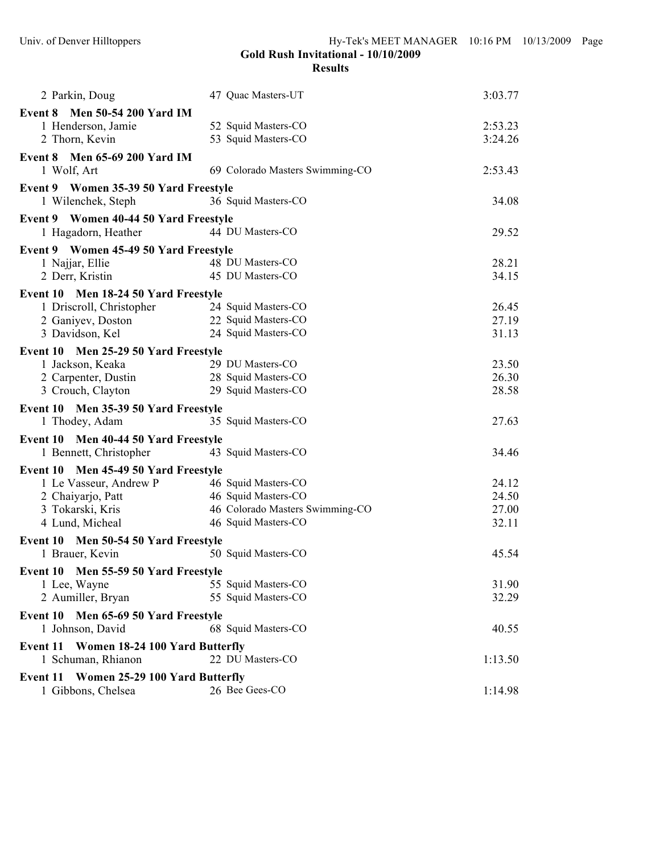| 2 Parkin, Doug                                                          | 47 Quac Masters-UT              | 3:03.77 |
|-------------------------------------------------------------------------|---------------------------------|---------|
| Event 8 Men 50-54 200 Yard IM                                           |                                 |         |
| 1 Henderson, Jamie                                                      | 52 Squid Masters-CO             | 2:53.23 |
| 2 Thorn, Kevin                                                          | 53 Squid Masters-CO             | 3:24.26 |
| Event 8 Men 65-69 200 Yard IM                                           |                                 |         |
| 1 Wolf, Art                                                             | 69 Colorado Masters Swimming-CO | 2:53.43 |
| Event 9 Women 35-39 50 Yard Freestyle                                   |                                 |         |
| 1 Wilenchek, Steph                                                      | 36 Squid Masters-CO             | 34.08   |
| Event 9 Women 40-44 50 Yard Freestyle                                   |                                 |         |
| 1 Hagadorn, Heather                                                     | 44 DU Masters-CO                | 29.52   |
| Event 9 Women 45-49 50 Yard Freestyle                                   |                                 |         |
| 1 Najjar, Ellie                                                         | 48 DU Masters-CO                | 28.21   |
| 2 Derr, Kristin                                                         | 45 DU Masters-CO                | 34.15   |
| Event 10 Men 18-24 50 Yard Freestyle                                    |                                 |         |
| 1 Driscroll, Christopher                                                | 24 Squid Masters-CO             | 26.45   |
| 2 Ganiyev, Doston                                                       | 22 Squid Masters-CO             | 27.19   |
| 3 Davidson, Kel                                                         | 24 Squid Masters-CO             | 31.13   |
| Event 10 Men 25-29 50 Yard Freestyle                                    |                                 |         |
| 1 Jackson, Keaka                                                        | 29 DU Masters-CO                | 23.50   |
| 2 Carpenter, Dustin                                                     | 28 Squid Masters-CO             | 26.30   |
| 3 Crouch, Clayton                                                       | 29 Squid Masters-CO             | 28.58   |
| Event 10 Men 35-39 50 Yard Freestyle                                    |                                 |         |
| 1 Thodey, Adam                                                          | 35 Squid Masters-CO             | 27.63   |
| Event 10 Men 40-44 50 Yard Freestyle                                    |                                 |         |
| 1 Bennett, Christopher                                                  | 43 Squid Masters-CO             | 34.46   |
| Event 10 Men 45-49 50 Yard Freestyle                                    |                                 |         |
| 1 Le Vasseur, Andrew P                                                  | 46 Squid Masters-CO             | 24.12   |
| 2 Chaiyarjo, Patt                                                       | 46 Squid Masters-CO             | 24.50   |
| 3 Tokarski, Kris                                                        | 46 Colorado Masters Swimming-CO | 27.00   |
| 4 Lund, Micheal                                                         | 46 Squid Masters-CO             | 32.11   |
| Event 10 Men 50-54 50 Yard Freestyle                                    |                                 |         |
| 1 Brauer, Kevin                                                         | 50 Squid Masters-CO             | 45.54   |
| Event 10 Men 55-59 50 Yard Freestyle                                    |                                 |         |
| 1 Lee, Wayne                                                            | 55 Squid Masters-CO             | 31.90   |
| 2 Aumiller, Bryan                                                       | 55 Squid Masters-CO             | 32.29   |
| Men 65-69 50 Yard Freestyle<br>Event 10                                 |                                 |         |
| 1 Johnson, David                                                        | 68 Squid Masters-CO             | 40.55   |
| <b>Women 18-24 100 Yard Butterfly</b><br>Event 11                       |                                 |         |
| 1 Schuman, Rhianon                                                      | 22 DU Masters-CO                | 1:13.50 |
|                                                                         |                                 |         |
| <b>Women 25-29 100 Yard Butterfly</b><br>Event 11<br>1 Gibbons, Chelsea | 26 Bee Gees-CO                  | 1:14.98 |
|                                                                         |                                 |         |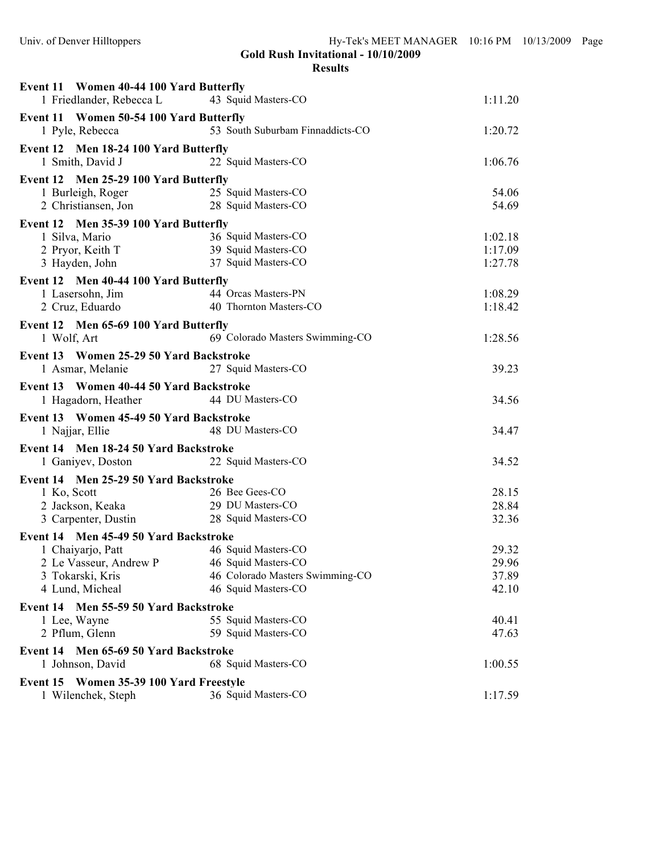| Event 11 Women 40-44 100 Yard Butterfly    |                                            |         |
|--------------------------------------------|--------------------------------------------|---------|
| 1 Friedlander, Rebecca L                   | 43 Squid Masters-CO                        | 1:11.20 |
| Event 11 Women 50-54 100 Yard Butterfly    |                                            |         |
| 1 Pyle, Rebecca                            | 53 South Suburbam Finnaddicts-CO           | 1:20.72 |
| Event 12 Men 18-24 100 Yard Butterfly      |                                            |         |
| 1 Smith, David J                           | 22 Squid Masters-CO                        | 1:06.76 |
| Event 12 Men 25-29 100 Yard Butterfly      |                                            |         |
| 1 Burleigh, Roger                          |                                            | 54.06   |
| 2 Christiansen, Jon                        | 25 Squid Masters-CO<br>28 Squid Masters-CO | 54.69   |
| Event 12 Men 35-39 100 Yard Butterfly      |                                            |         |
| 1 Silva, Mario                             | 36 Squid Masters-CO                        | 1:02.18 |
| 2 Pryor, Keith T                           | 39 Squid Masters-CO                        | 1:17.09 |
| 3 Hayden, John                             | 37 Squid Masters-CO                        | 1:27.78 |
| Event 12 Men 40-44 100 Yard Butterfly      |                                            |         |
| 1 Lasersohn, Jim                           | 44 Orcas Masters-PN                        | 1:08.29 |
| 2 Cruz, Eduardo                            | 40 Thornton Masters-CO                     | 1:18.42 |
| Event 12 Men 65-69 100 Yard Butterfly      |                                            |         |
| 1 Wolf, Art                                | 69 Colorado Masters Swimming-CO            | 1:28.56 |
| Event 13 Women 25-29 50 Yard Backstroke    |                                            |         |
| 1 Asmar, Melanie                           | 27 Squid Masters-CO                        | 39.23   |
| Event 13 Women 40-44 50 Yard Backstroke    |                                            |         |
| 1 Hagadorn, Heather                        | 44 DU Masters-CO                           | 34.56   |
| Event 13 Women 45-49 50 Yard Backstroke    |                                            |         |
| 1 Najjar, Ellie                            | 48 DU Masters-CO                           | 34.47   |
| Event 14 Men 18-24 50 Yard Backstroke      |                                            |         |
| 1 Ganiyev, Doston 22 Squid Masters-CO      |                                            | 34.52   |
| Event 14 Men 25-29 50 Yard Backstroke      |                                            |         |
| 1 Ko, Scott                                | 26 Bee Gees-CO                             | 28.15   |
| 2 Jackson, Keaka                           | 29 DU Masters-CO                           | 28.84   |
| 3 Carpenter, Dustin                        | 28 Squid Masters-CO                        | 32.36   |
| Event 14 Men 45-49 50 Yard Backstroke      |                                            |         |
| 1 Chaiyarjo, Patt                          | 46 Squid Masters-CO                        | 29.32   |
| 2 Le Vasseur, Andrew P                     | 46 Squid Masters-CO                        | 29.96   |
| 3 Tokarski, Kris                           | 46 Colorado Masters Swimming-CO            | 37.89   |
| 4 Lund, Micheal                            | 46 Squid Masters-CO                        | 42.10   |
| Event 14 Men 55-59 50 Yard Backstroke      |                                            |         |
| 1 Lee, Wayne                               | 55 Squid Masters-CO                        | 40.41   |
| 2 Pflum, Glenn                             | 59 Squid Masters-CO                        | 47.63   |
| Event 14 Men 65-69 50 Yard Backstroke      |                                            |         |
| 1 Johnson, David                           | 68 Squid Masters-CO                        | 1:00.55 |
| Event 15<br>Women 35-39 100 Yard Freestyle |                                            |         |
| 1 Wilenchek, Steph                         | 36 Squid Masters-CO                        | 1:17.59 |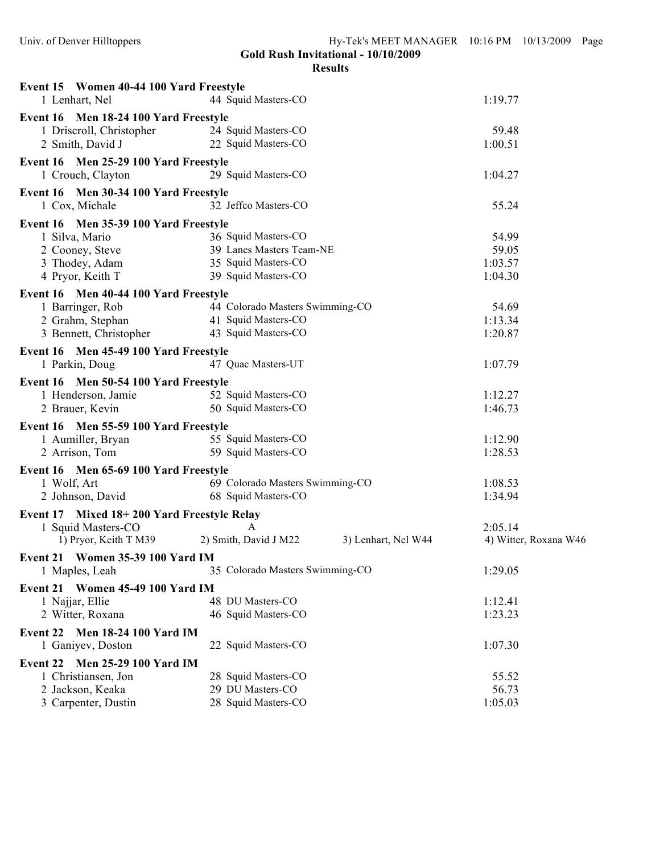| Event 15 Women 40-44 100 Yard Freestyle               |                                              |                       |
|-------------------------------------------------------|----------------------------------------------|-----------------------|
| 1 Lenhart, Nel                                        | 44 Squid Masters-CO                          | 1:19.77               |
| Event 16 Men 18-24 100 Yard Freestyle                 |                                              |                       |
| 1 Driscroll, Christopher                              | 24 Squid Masters-CO                          | 59.48                 |
| 2 Smith, David J                                      | 22 Squid Masters-CO                          | 1:00.51               |
| Event 16 Men 25-29 100 Yard Freestyle                 |                                              |                       |
| 1 Crouch, Clayton                                     | 29 Squid Masters-CO                          | 1:04.27               |
| Event 16 Men 30-34 100 Yard Freestyle                 |                                              |                       |
| 1 Cox, Michale                                        | 32 Jeffco Masters-CO                         | 55.24                 |
| Event 16 Men 35-39 100 Yard Freestyle                 |                                              |                       |
| 1 Silva, Mario                                        | 36 Squid Masters-CO                          | 54.99                 |
| 2 Cooney, Steve                                       | 39 Lanes Masters Team-NE                     | 59.05                 |
| 3 Thodey, Adam                                        | 35 Squid Masters-CO                          | 1:03.57               |
| 4 Pryor, Keith T                                      | 39 Squid Masters-CO                          | 1:04.30               |
| Event 16 Men 40-44 100 Yard Freestyle                 |                                              |                       |
| 1 Barringer, Rob                                      | 44 Colorado Masters Swimming-CO              | 54.69                 |
| 2 Grahm, Stephan                                      | 41 Squid Masters-CO                          | 1:13.34               |
| 3 Bennett, Christopher                                | 43 Squid Masters-CO                          | 1:20.87               |
| Event 16 Men 45-49 100 Yard Freestyle                 |                                              |                       |
| 1 Parkin, Doug                                        | 47 Quac Masters-UT                           | 1:07.79               |
| Event 16 Men 50-54 100 Yard Freestyle                 |                                              |                       |
| 1 Henderson, Jamie                                    | 52 Squid Masters-CO                          | 1:12.27               |
| 2 Brauer, Kevin                                       | 50 Squid Masters-CO                          | 1:46.73               |
| Event 16 Men 55-59 100 Yard Freestyle                 |                                              |                       |
| 1 Aumiller, Bryan                                     | 55 Squid Masters-CO                          | 1:12.90               |
| 2 Arrison, Tom                                        | 59 Squid Masters-CO                          | 1:28.53               |
| Event 16 Men 65-69 100 Yard Freestyle                 |                                              |                       |
| 1 Wolf, Art                                           | 69 Colorado Masters Swimming-CO              | 1:08.53               |
| 2 Johnson, David                                      | 68 Squid Masters-CO                          | 1:34.94               |
| Event 17 Mixed 18+200 Yard Freestyle Relay            |                                              |                       |
| 1 Squid Masters-CO                                    | A                                            | 2:05.14               |
| 1) Pryor, Keith T M39                                 | 2) Smith, David J M22<br>3) Lenhart, Nel W44 | 4) Witter, Roxana W46 |
| <b>Event 21 Women 35-39 100 Yard IM</b>               |                                              |                       |
| 1 Maples, Leah                                        | 35 Colorado Masters Swimming-CO              | 1:29.05               |
| Event 21 Women 45-49 100 Yard IM                      |                                              |                       |
| 1 Najjar, Ellie                                       | 48 DU Masters-CO                             | 1:12.41               |
| 2 Witter, Roxana                                      | 46 Squid Masters-CO                          | 1:23.23               |
| <b>Men 18-24 100 Yard IM</b><br>Event 22              |                                              |                       |
| 1 Ganiyev, Doston                                     | 22 Squid Masters-CO                          | 1:07.30               |
|                                                       |                                              |                       |
| Event 22 Men 25-29 100 Yard IM<br>1 Christiansen, Jon | 28 Squid Masters-CO                          | 55.52                 |
| 2 Jackson, Keaka                                      | 29 DU Masters-CO                             | 56.73                 |
| 3 Carpenter, Dustin                                   | 28 Squid Masters-CO                          | 1:05.03               |
|                                                       |                                              |                       |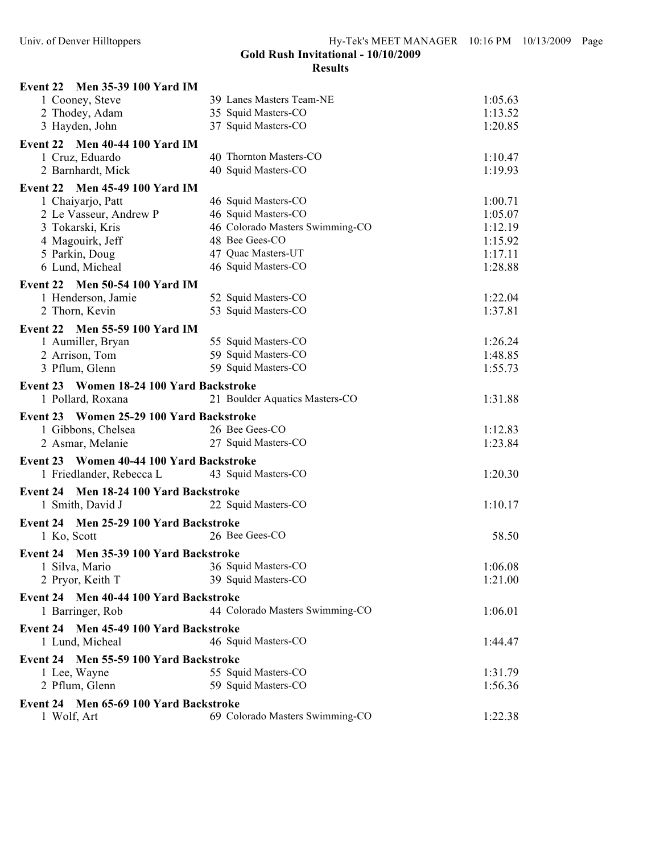| Event 22 Men 35-39 100 Yard IM                                               |                                 |         |
|------------------------------------------------------------------------------|---------------------------------|---------|
| 1 Cooney, Steve                                                              | 39 Lanes Masters Team-NE        | 1:05.63 |
| 2 Thodey, Adam                                                               | 35 Squid Masters-CO             | 1:13.52 |
| 3 Hayden, John                                                               | 37 Squid Masters-CO             | 1:20.85 |
| Event 22 Men 40-44 100 Yard IM                                               |                                 |         |
| 1 Cruz, Eduardo                                                              | 40 Thornton Masters-CO          | 1:10.47 |
| 2 Barnhardt, Mick                                                            | 40 Squid Masters-CO             | 1:19.93 |
| Event 22 Men 45-49 100 Yard IM                                               |                                 |         |
| 1 Chaiyarjo, Patt                                                            | 46 Squid Masters-CO             | 1:00.71 |
| 2 Le Vasseur, Andrew P                                                       | 46 Squid Masters-CO             | 1:05.07 |
| 3 Tokarski, Kris                                                             | 46 Colorado Masters Swimming-CO | 1:12.19 |
| 4 Magouirk, Jeff                                                             | 48 Bee Gees-CO                  | 1:15.92 |
| 5 Parkin, Doug                                                               | 47 Quac Masters-UT              | 1:17.11 |
| 6 Lund, Micheal                                                              | 46 Squid Masters-CO             | 1:28.88 |
| Event 22 Men 50-54 100 Yard IM                                               |                                 |         |
| 1 Henderson, Jamie                                                           | 52 Squid Masters-CO             | 1:22.04 |
| 2 Thorn, Kevin                                                               | 53 Squid Masters-CO             | 1:37.81 |
| Event 22 Men 55-59 100 Yard IM                                               |                                 |         |
| 1 Aumiller, Bryan                                                            | 55 Squid Masters-CO             | 1:26.24 |
| 2 Arrison, Tom                                                               | 59 Squid Masters-CO             | 1:48.85 |
| 3 Pflum, Glenn                                                               | 59 Squid Masters-CO             | 1:55.73 |
|                                                                              |                                 |         |
| Event 23 Women 18-24 100 Yard Backstroke                                     |                                 |         |
| 1 Pollard, Roxana                                                            | 21 Boulder Aquatics Masters-CO  | 1:31.88 |
| Event 23 Women 25-29 100 Yard Backstroke                                     |                                 |         |
| 1 Gibbons, Chelsea                                                           | 26 Bee Gees-CO                  | 1:12.83 |
| 2 Asmar, Melanie                                                             | 27 Squid Masters-CO             | 1:23.84 |
| Event 23 Women 40-44 100 Yard Backstroke                                     |                                 |         |
| 1 Friedlander, Rebecca L                                                     | 43 Squid Masters-CO             | 1:20.30 |
| Event 24 Men 18-24 100 Yard Backstroke                                       |                                 |         |
| 1 Smith, David J                                                             | 22 Squid Masters-CO             | 1:10.17 |
| Event 24 Men 25-29 100 Yard Backstroke                                       |                                 |         |
| 1 Ko, Scott                                                                  | 26 Bee Gees-CO                  | 58.50   |
|                                                                              |                                 |         |
| Event 24 Men 35-39 100 Yard Backstroke<br>1 Silva, Mario 36 Squid Masters-CO |                                 | 1:06.08 |
| 2 Pryor, Keith T                                                             | 39 Squid Masters-CO             | 1:21.00 |
|                                                                              |                                 |         |
| Event 24 Men 40-44 100 Yard Backstroke                                       |                                 |         |
| 1 Barringer, Rob                                                             | 44 Colorado Masters Swimming-CO | 1:06.01 |
| Event 24 Men 45-49 100 Yard Backstroke                                       |                                 |         |
| 1 Lund, Micheal                                                              | 46 Squid Masters-CO             | 1:44.47 |
| Event 24 Men 55-59 100 Yard Backstroke                                       |                                 |         |
| 1 Lee, Wayne                                                                 | 55 Squid Masters-CO             | 1:31.79 |
| 2 Pflum, Glenn                                                               | 59 Squid Masters-CO             | 1:56.36 |
| Event 24 Men 65-69 100 Yard Backstroke                                       |                                 |         |
| 1 Wolf, Art                                                                  | 69 Colorado Masters Swimming-CO | 1:22.38 |
|                                                                              |                                 |         |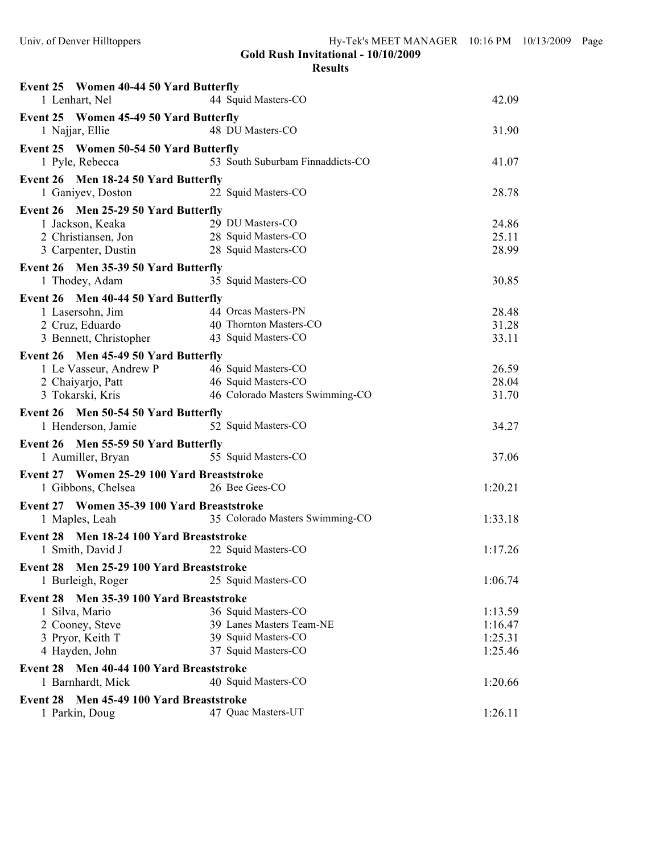| Event 25 Women 40-44 50 Yard Butterfly                        |                                         |         |
|---------------------------------------------------------------|-----------------------------------------|---------|
| 1 Lenhart, Nel                                                | 44 Squid Masters-CO                     | 42.09   |
| Event 25 Women 45-49 50 Yard Butterfly                        |                                         |         |
| 1 Najjar, Ellie                                               | 48 DU Masters-CO                        | 31.90   |
| Event 25 Women 50-54 50 Yard Butterfly                        |                                         |         |
| 1 Pyle, Rebecca                                               | 53 South Suburbam Finnaddicts-CO        | 41.07   |
| Event 26 Men 18-24 50 Yard Butterfly                          |                                         |         |
| 1 Ganiyev, Doston                                             | 22 Squid Masters-CO                     | 28.78   |
| Event 26 Men 25-29 50 Yard Butterfly                          |                                         |         |
| 1 Jackson, Keaka                                              | 29 DU Masters-CO                        | 24.86   |
| 2 Christiansen, Jon                                           | 29 DU Masters-CO<br>28 Squid Masters-CO | 25.11   |
| 3 Carpenter, Dustin                                           | 28 Squid Masters-CO                     | 28.99   |
| Event 26 Men 35-39 50 Yard Butterfly                          |                                         |         |
| 1 Thodey, Adam                                                | 35 Squid Masters-CO                     | 30.85   |
| Event 26 Men 40-44 50 Yard Butterfly                          |                                         |         |
| 1 Lasersohn, Jim                                              | 44 Orcas Masters-PN                     | 28.48   |
| 2 Cruz, Eduardo                                               | 40 Thornton Masters-CO                  | 31.28   |
| 3 Bennett, Christopher                                        | 43 Squid Masters-CO                     | 33.11   |
| Event 26 Men 45-49 50 Yard Butterfly                          |                                         |         |
| 1 Le Vasseur, Andrew P                                        | 46 Squid Masters-CO                     | 26.59   |
| 2 Chaiyarjo, Patt                                             | 46 Squid Masters-CO                     | 28.04   |
| 3 Tokarski, Kris                                              | 46 Colorado Masters Swimming-CO         | 31.70   |
|                                                               |                                         |         |
|                                                               |                                         |         |
| Event 26 Men 50-54 50 Yard Butterfly                          |                                         |         |
| 1 Henderson, Jamie                                            | 52 Squid Masters-CO                     | 34.27   |
| Event 26 Men 55-59 50 Yard Butterfly                          |                                         |         |
| 1 Aumiller, Bryan                                             | 55 Squid Masters-CO                     | 37.06   |
| Event 27 Women 25-29 100 Yard Breaststroke                    |                                         |         |
| 1 Gibbons, Chelsea                                            | 26 Bee Gees-CO                          | 1:20.21 |
| Event 27 Women 35-39 100 Yard Breaststroke                    |                                         |         |
| 1 Maples, Leah                                                | 35 Colorado Masters Swimming-CO         | 1:33.18 |
| Event 28 Men 18-24 100 Yard Breaststroke                      |                                         |         |
| 1 Smith, David J                                              | 22 Squid Masters-CO                     | 1:17.26 |
|                                                               |                                         |         |
| Event 28 Men 25-29 100 Yard Breaststroke                      |                                         |         |
| 1 Burleigh, Roger                                             | 25 Squid Masters-CO                     | 1:06.74 |
| Event 28 Men 35-39 100 Yard Breaststroke                      |                                         |         |
| 1 Silva, Mario                                                | 36 Squid Masters-CO                     | 1:13.59 |
| 2 Cooney, Steve                                               | 39 Lanes Masters Team-NE                | 1:16.47 |
| 3 Pryor, Keith T                                              | 39 Squid Masters-CO                     | 1:25.31 |
| 4 Hayden, John                                                | 37 Squid Masters-CO                     | 1:25.46 |
| Event 28 Men 40-44 100 Yard Breaststroke                      |                                         |         |
| 1 Barnhardt, Mick                                             | 40 Squid Masters-CO                     | 1:20.66 |
| Men 45-49 100 Yard Breaststroke<br>Event 28<br>1 Parkin, Doug | 47 Quac Masters-UT                      | 1:26.11 |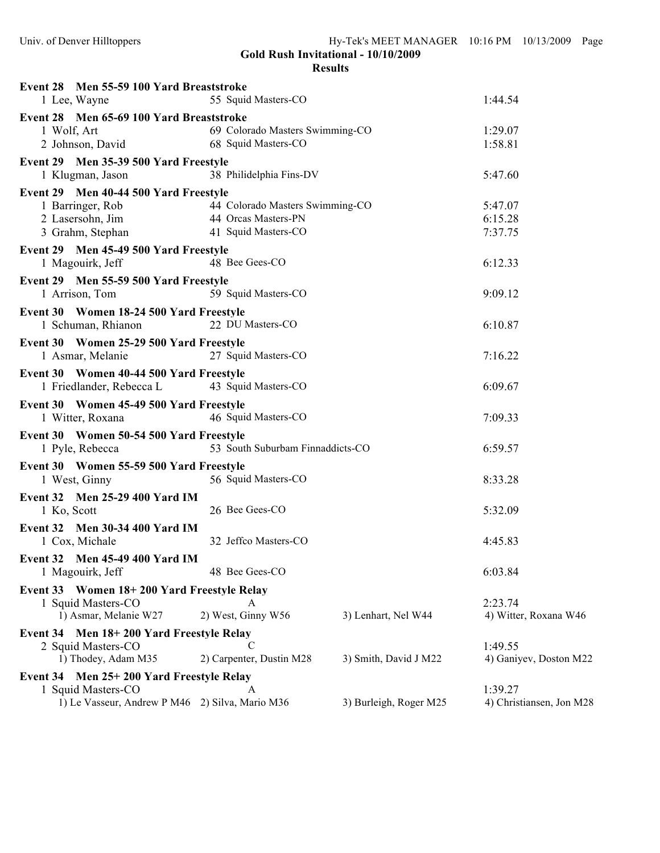| Event 28 Men 55-59 100 Yard Breaststroke<br>1 Lee, Wayne                                | 55 Squid Masters-CO              |                        | 1:44.54                             |
|-----------------------------------------------------------------------------------------|----------------------------------|------------------------|-------------------------------------|
| Event 28 Men 65-69 100 Yard Breaststroke                                                |                                  |                        |                                     |
| 1 Wolf, Art                                                                             | 69 Colorado Masters Swimming-CO  |                        | 1:29.07                             |
| 1 Wolf, Art<br>2 Johnson, David                                                         | 68 Squid Masters-CO              |                        | 1:58.81                             |
| Event 29 Men 35-39 500 Yard Freestyle                                                   |                                  |                        |                                     |
| 1 Klugman, Jason                                                                        | 38 Philidelphia Fins-DV          |                        | 5:47.60                             |
| Event 29 Men 40-44 500 Yard Freestyle                                                   |                                  |                        |                                     |
| 1 Barringer, Rob                                                                        | 44 Colorado Masters Swimming-CO  |                        | 5:47.07                             |
| 2 Lasersohn, Jim                                                                        | 44 Orcas Masters-PN              |                        | 6:15.28                             |
| 3 Grahm, Stephan                                                                        | 41 Squid Masters-CO              |                        | 7:37.75                             |
| Event 29 Men 45-49 500 Yard Freestyle<br>1 Magouirk, Jeff                               | 48 Bee Gees-CO                   |                        | 6:12.33                             |
| Event 29 Men 55-59 500 Yard Freestyle                                                   |                                  |                        |                                     |
| 1 Arrison, Tom                                                                          | 59 Squid Masters-CO              |                        | 9:09.12                             |
| Event 30 Women 18-24 500 Yard Freestyle<br>1 Schuman, Rhianon 22 DU Masters-CO          |                                  |                        | 6:10.87                             |
| Event 30 Women 25-29 500 Yard Freestyle<br>1 Asmar, Melanie                             | 27 Squid Masters-CO              |                        | 7:16.22                             |
| Event 30 Women 40-44 500 Yard Freestyle<br>1 Friedlander, Rebecca L 43 Squid Masters-CO |                                  |                        | 6:09.67                             |
| Event 30 Women 45-49 500 Yard Freestyle<br>1 Witter, Roxana                             | 46 Squid Masters-CO              |                        | 7:09.33                             |
| Event 30 Women 50-54 500 Yard Freestyle<br>1 Pyle, Rebecca                              | 53 South Suburbam Finnaddicts-CO |                        | 6:59.57                             |
| Event 30 Women 55-59 500 Yard Freestyle<br>1 West, Ginny                                | 56 Squid Masters-CO              |                        | 8:33.28                             |
|                                                                                         |                                  |                        |                                     |
| Event 32 Men 25-29 400 Yard IM<br>1 Ko, Scott                                           | 26 Bee Gees-CO                   |                        | 5:32.09                             |
| Event 32 Men 30-34 400 Yard IM<br>1 Cox, Michale                                        | 32 Jeffco Masters-CO             |                        | 4:45.83                             |
| <b>Event 32</b> Men 45-49 400 Yard IM<br>1 Magouirk, Jeff                               | 48 Bee Gees-CO                   |                        | 6:03.84                             |
| Event 33 Women 18+200 Yard Freestyle Relay                                              |                                  |                        |                                     |
| 1 Squid Masters-CO                                                                      | A                                |                        | 2:23.74                             |
| 1) Asmar, Melanie W27                                                                   | 2) West, Ginny W56               | 3) Lenhart, Nel W44    | 4) Witter, Roxana W46               |
| Event 34 Men 18+200 Yard Freestyle Relay                                                |                                  |                        |                                     |
| 2 Squid Masters-CO                                                                      | C                                |                        | 1:49.55                             |
| 1) Thodey, Adam M35                                                                     | 2) Carpenter, Dustin M28         | 3) Smith, David J M22  | 4) Ganiyev, Doston M22              |
| Event 34 Men 25+200 Yard Freestyle Relay                                                |                                  |                        |                                     |
| 1 Squid Masters-CO<br>1) Le Vasseur, Andrew P M46 2) Silva, Mario M36                   | A                                | 3) Burleigh, Roger M25 | 1:39.27<br>4) Christiansen, Jon M28 |
|                                                                                         |                                  |                        |                                     |